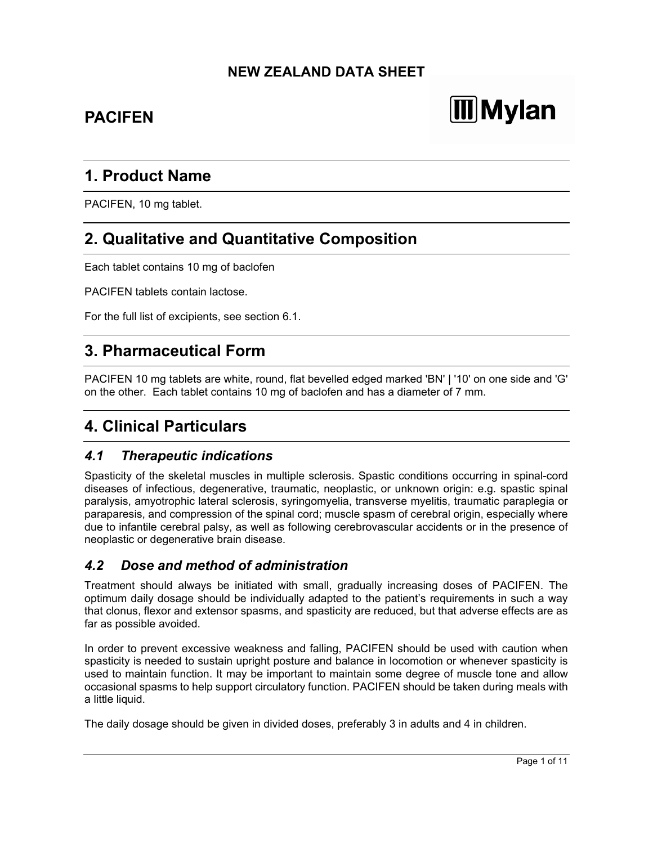## **NEW ZEALAND DATA SHEET**

## **PACIFEN**

# **Mylan**

## **1. Product Name**

PACIFEN, 10 mg tablet.

## **2. Qualitative and Quantitative Composition**

Each tablet contains 10 mg of baclofen

PACIFEN tablets contain lactose.

For the full list of excipients, see section 6.1.

## **3. Pharmaceutical Form**

PACIFEN 10 mg tablets are white, round, flat bevelled edged marked 'BN' | '10' on one side and 'G' on the other. Each tablet contains 10 mg of baclofen and has a diameter of 7 mm.

## **4. Clinical Particulars**

## *4.1 Therapeutic indications*

Spasticity of the skeletal muscles in multiple sclerosis. Spastic conditions occurring in spinal-cord diseases of infectious, degenerative, traumatic, neoplastic, or unknown origin: e.g. spastic spinal paralysis, amyotrophic lateral sclerosis, syringomyelia, transverse myelitis, traumatic paraplegia or paraparesis, and compression of the spinal cord; muscle spasm of cerebral origin, especially where due to infantile cerebral palsy, as well as following cerebrovascular accidents or in the presence of neoplastic or degenerative brain disease.

## *4.2 Dose and method of administration*

Treatment should always be initiated with small, gradually increasing doses of PACIFEN. The optimum daily dosage should be individually adapted to the patient's requirements in such a way that clonus, flexor and extensor spasms, and spasticity are reduced, but that adverse effects are as far as possible avoided.

In order to prevent excessive weakness and falling, PACIFEN should be used with caution when spasticity is needed to sustain upright posture and balance in locomotion or whenever spasticity is used to maintain function. It may be important to maintain some degree of muscle tone and allow occasional spasms to help support circulatory function. PACIFEN should be taken during meals with a little liquid.

The daily dosage should be given in divided doses, preferably 3 in adults and 4 in children.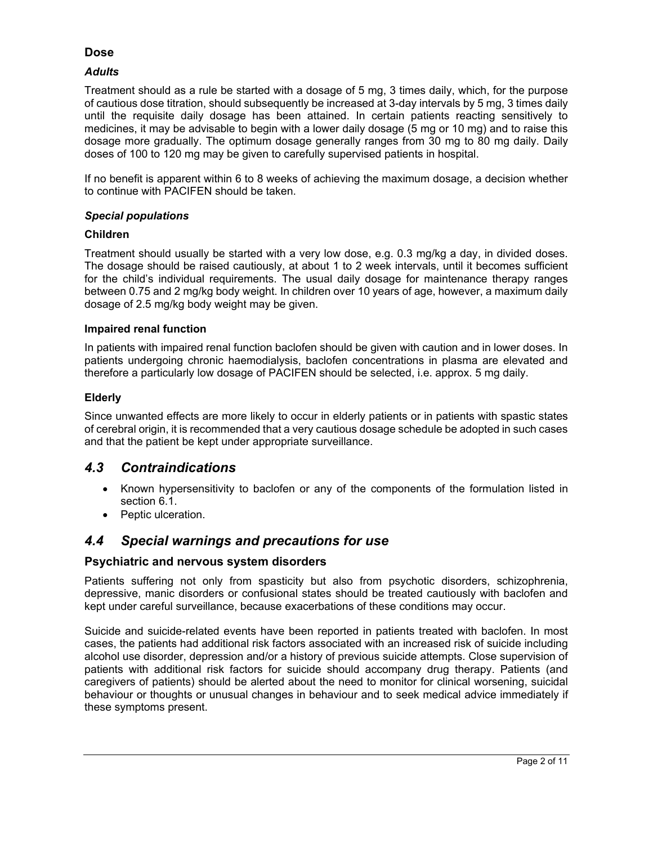## **Dose**

#### *Adults*

Treatment should as a rule be started with a dosage of 5 mg, 3 times daily, which, for the purpose of cautious dose titration, should subsequently be increased at 3-day intervals by 5 mg, 3 times daily until the requisite daily dosage has been attained. In certain patients reacting sensitively to medicines, it may be advisable to begin with a lower daily dosage (5 mg or 10 mg) and to raise this dosage more gradually. The optimum dosage generally ranges from 30 mg to 80 mg daily. Daily doses of 100 to 120 mg may be given to carefully supervised patients in hospital.

If no benefit is apparent within 6 to 8 weeks of achieving the maximum dosage, a decision whether to continue with PACIFEN should be taken.

#### *Special populations*

#### **Children**

Treatment should usually be started with a very low dose, e.g. 0.3 mg/kg a day, in divided doses. The dosage should be raised cautiously, at about 1 to 2 week intervals, until it becomes sufficient for the child's individual requirements. The usual daily dosage for maintenance therapy ranges between 0.75 and 2 mg/kg body weight. In children over 10 years of age, however, a maximum daily dosage of 2.5 mg/kg body weight may be given.

#### **Impaired renal function**

In patients with impaired renal function baclofen should be given with caution and in lower doses. In patients undergoing chronic haemodialysis, baclofen concentrations in plasma are elevated and therefore a particularly low dosage of PACIFEN should be selected, i.e. approx. 5 mg daily.

#### **Elderly**

Since unwanted effects are more likely to occur in elderly patients or in patients with spastic states of cerebral origin, it is recommended that a very cautious dosage schedule be adopted in such cases and that the patient be kept under appropriate surveillance.

## *4.3 Contraindications*

- Known hypersensitivity to baclofen or any of the components of the formulation listed in section 6.1.
- Peptic ulceration.

## *4.4 Special warnings and precautions for use*

## **Psychiatric and nervous system disorders**

Patients suffering not only from spasticity but also from psychotic disorders, schizophrenia, depressive, manic disorders or confusional states should be treated cautiously with baclofen and kept under careful surveillance, because exacerbations of these conditions may occur.

Suicide and suicide-related events have been reported in patients treated with baclofen. In most cases, the patients had additional risk factors associated with an increased risk of suicide including alcohol use disorder, depression and/or a history of previous suicide attempts. Close supervision of patients with additional risk factors for suicide should accompany drug therapy. Patients (and caregivers of patients) should be alerted about the need to monitor for clinical worsening, suicidal behaviour or thoughts or unusual changes in behaviour and to seek medical advice immediately if these symptoms present.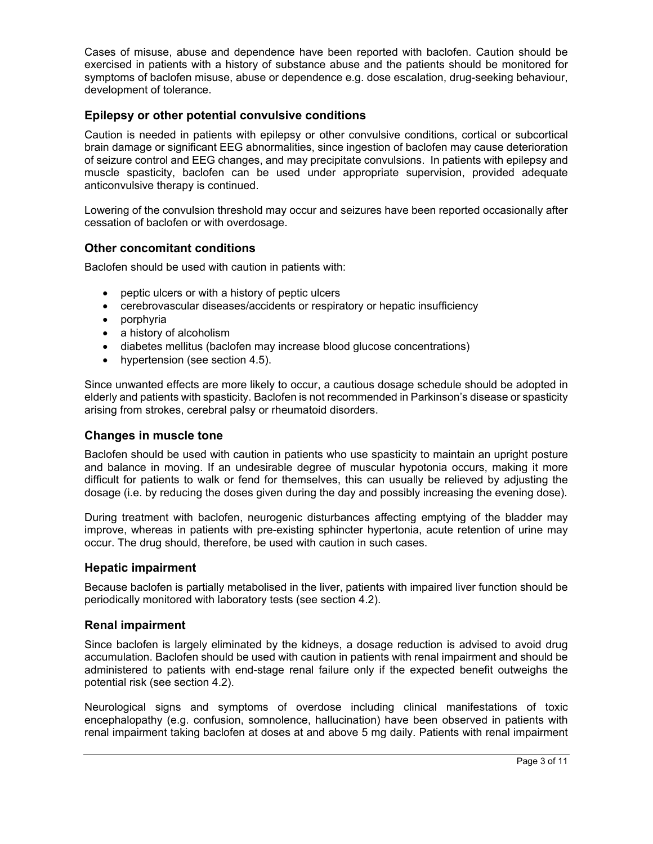Cases of misuse, abuse and dependence have been reported with baclofen. Caution should be exercised in patients with a history of substance abuse and the patients should be monitored for symptoms of baclofen misuse, abuse or dependence e.g. dose escalation, drug-seeking behaviour, development of tolerance.

## **Epilepsy or other potential convulsive conditions**

Caution is needed in patients with epilepsy or other convulsive conditions, cortical or subcortical brain damage or significant EEG abnormalities, since ingestion of baclofen may cause deterioration of seizure control and EEG changes, and may precipitate convulsions. In patients with epilepsy and muscle spasticity, baclofen can be used under appropriate supervision, provided adequate anticonvulsive therapy is continued.

Lowering of the convulsion threshold may occur and seizures have been reported occasionally after cessation of baclofen or with overdosage.

#### **Other concomitant conditions**

Baclofen should be used with caution in patients with:

- peptic ulcers or with a history of peptic ulcers
- cerebrovascular diseases/accidents or respiratory or hepatic insufficiency
- porphyria
- a history of alcoholism
- diabetes mellitus (baclofen may increase blood glucose concentrations)
- hypertension (see section 4.5).

Since unwanted effects are more likely to occur, a cautious dosage schedule should be adopted in elderly and patients with spasticity. Baclofen is not recommended in Parkinson's disease or spasticity arising from strokes, cerebral palsy or rheumatoid disorders.

#### **Changes in muscle tone**

Baclofen should be used with caution in patients who use spasticity to maintain an upright posture and balance in moving. If an undesirable degree of muscular hypotonia occurs, making it more difficult for patients to walk or fend for themselves, this can usually be relieved by adjusting the dosage (i.e. by reducing the doses given during the day and possibly increasing the evening dose).

During treatment with baclofen, neurogenic disturbances affecting emptying of the bladder may improve, whereas in patients with pre-existing sphincter hypertonia, acute retention of urine may occur. The drug should, therefore, be used with caution in such cases.

#### **Hepatic impairment**

Because baclofen is partially metabolised in the liver, patients with impaired liver function should be periodically monitored with laboratory tests (see section 4.2).

#### **Renal impairment**

Since baclofen is largely eliminated by the kidneys, a dosage reduction is advised to avoid drug accumulation. Baclofen should be used with caution in patients with renal impairment and should be administered to patients with end-stage renal failure only if the expected benefit outweighs the potential risk (see section 4.2).

Neurological signs and symptoms of overdose including clinical manifestations of toxic encephalopathy (e.g. confusion, somnolence, hallucination) have been observed in patients with renal impairment taking baclofen at doses at and above 5 mg daily. Patients with renal impairment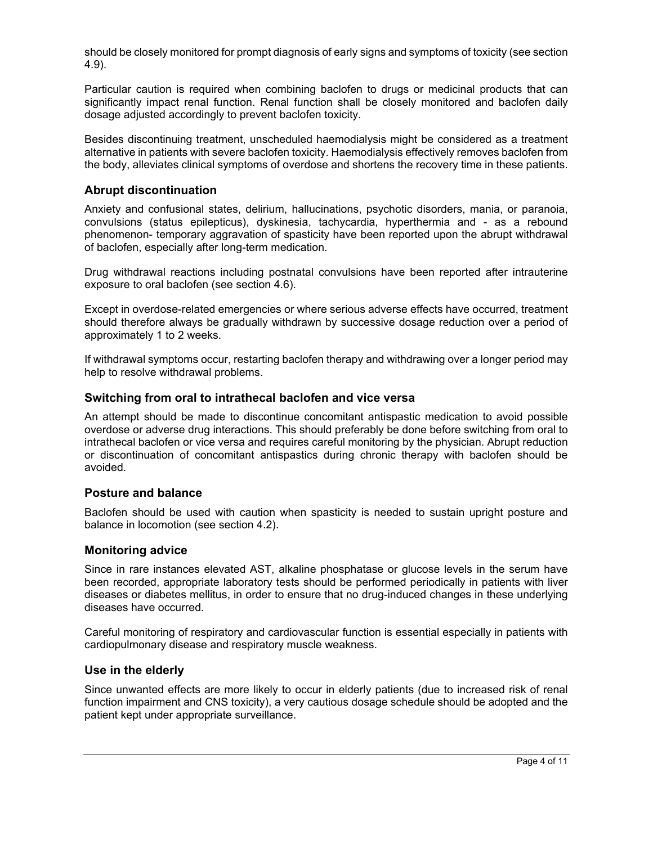should be closely monitored for prompt diagnosis of early signs and symptoms of toxicity (see section 4.9).

Particular caution is required when combining baclofen to drugs or medicinal products that can significantly impact renal function. Renal function shall be closely monitored and baclofen daily dosage adjusted accordingly to prevent baclofen toxicity.

Besides discontinuing treatment, unscheduled haemodialysis might be considered as a treatment alternative in patients with severe baclofen toxicity. Haemodialysis effectively removes baclofen from the body, alleviates clinical symptoms of overdose and shortens the recovery time in these patients.

#### **Abrupt discontinuation**

Anxiety and confusional states, delirium, hallucinations, psychotic disorders, mania, or paranoia, convulsions (status epilepticus), dyskinesia, tachycardia, hyperthermia and - as a rebound phenomenon- temporary aggravation of spasticity have been reported upon the abrupt withdrawal of baclofen, especially after long-term medication.

Drug withdrawal reactions including postnatal convulsions have been reported after intrauterine exposure to oral baclofen (see section 4.6).

Except in overdose-related emergencies or where serious adverse effects have occurred, treatment should therefore always be gradually withdrawn by successive dosage reduction over a period of approximately 1 to 2 weeks.

If withdrawal symptoms occur, restarting baclofen therapy and withdrawing over a longer period may help to resolve withdrawal problems.

#### **Switching from oral to intrathecal baclofen and vice versa**

An attempt should be made to discontinue concomitant antispastic medication to avoid possible overdose or adverse drug interactions. This should preferably be done before switching from oral to intrathecal baclofen or vice versa and requires careful monitoring by the physician. Abrupt reduction or discontinuation of concomitant antispastics during chronic therapy with baclofen should be avoided.

#### **Posture and balance**

Baclofen should be used with caution when spasticity is needed to sustain upright posture and balance in locomotion (see section 4.2).

#### **Monitoring advice**

Since in rare instances elevated AST, alkaline phosphatase or glucose levels in the serum have been recorded, appropriate laboratory tests should be performed periodically in patients with liver diseases or diabetes mellitus, in order to ensure that no drug-induced changes in these underlying diseases have occurred.

Careful monitoring of respiratory and cardiovascular function is essential especially in patients with cardiopulmonary disease and respiratory muscle weakness.

#### **Use in the elderly**

Since unwanted effects are more likely to occur in elderly patients (due to increased risk of renal function impairment and CNS toxicity), a very cautious dosage schedule should be adopted and the patient kept under appropriate surveillance.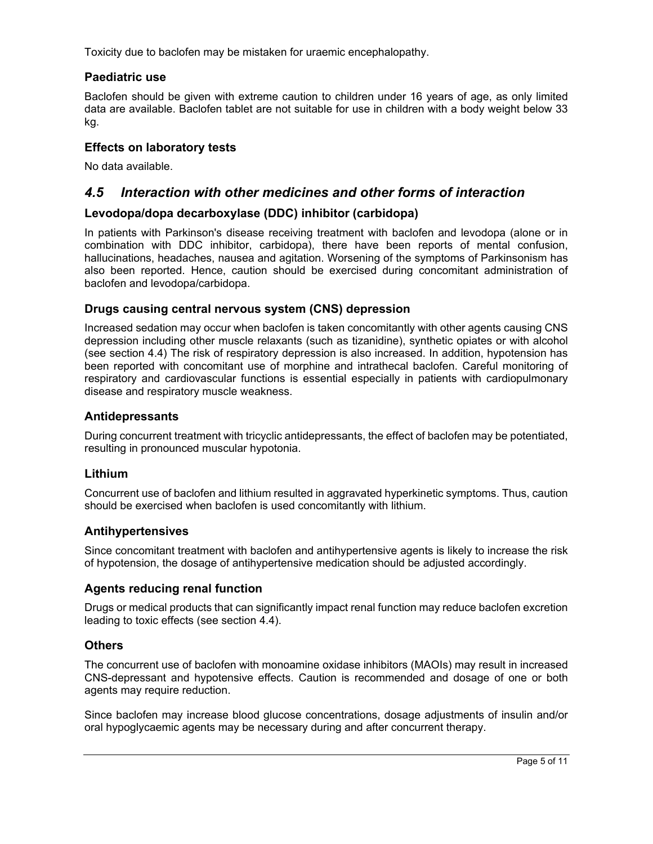Toxicity due to baclofen may be mistaken for uraemic encephalopathy.

## **Paediatric use**

Baclofen should be given with extreme caution to children under 16 years of age, as only limited data are available. Baclofen tablet are not suitable for use in children with a body weight below 33 kg.

## **Effects on laboratory tests**

No data available.

## *4.5 Interaction with other medicines and other forms of interaction*

## **Levodopa/dopa decarboxylase (DDC) inhibitor (carbidopa)**

In patients with Parkinson's disease receiving treatment with baclofen and levodopa (alone or in combination with DDC inhibitor, carbidopa), there have been reports of mental confusion, hallucinations, headaches, nausea and agitation. Worsening of the symptoms of Parkinsonism has also been reported. Hence, caution should be exercised during concomitant administration of baclofen and levodopa/carbidopa.

## **Drugs causing central nervous system (CNS) depression**

Increased sedation may occur when baclofen is taken concomitantly with other agents causing CNS depression including other muscle relaxants (such as tizanidine), synthetic opiates or with alcohol (see section 4.4) The risk of respiratory depression is also increased. In addition, hypotension has been reported with concomitant use of morphine and intrathecal baclofen. Careful monitoring of respiratory and cardiovascular functions is essential especially in patients with cardiopulmonary disease and respiratory muscle weakness.

## **Antidepressants**

During concurrent treatment with tricyclic antidepressants, the effect of baclofen may be potentiated, resulting in pronounced muscular hypotonia.

## **Lithium**

Concurrent use of baclofen and lithium resulted in aggravated hyperkinetic symptoms. Thus, caution should be exercised when baclofen is used concomitantly with lithium.

## **Antihypertensives**

Since concomitant treatment with baclofen and antihypertensive agents is likely to increase the risk of hypotension, the dosage of antihypertensive medication should be adjusted accordingly.

## **Agents reducing renal function**

Drugs or medical products that can significantly impact renal function may reduce baclofen excretion leading to toxic effects (see section 4.4).

## **Others**

The concurrent use of baclofen with monoamine oxidase inhibitors (MAOIs) may result in increased CNS-depressant and hypotensive effects. Caution is recommended and dosage of one or both agents may require reduction.

Since baclofen may increase blood glucose concentrations, dosage adjustments of insulin and/or oral hypoglycaemic agents may be necessary during and after concurrent therapy.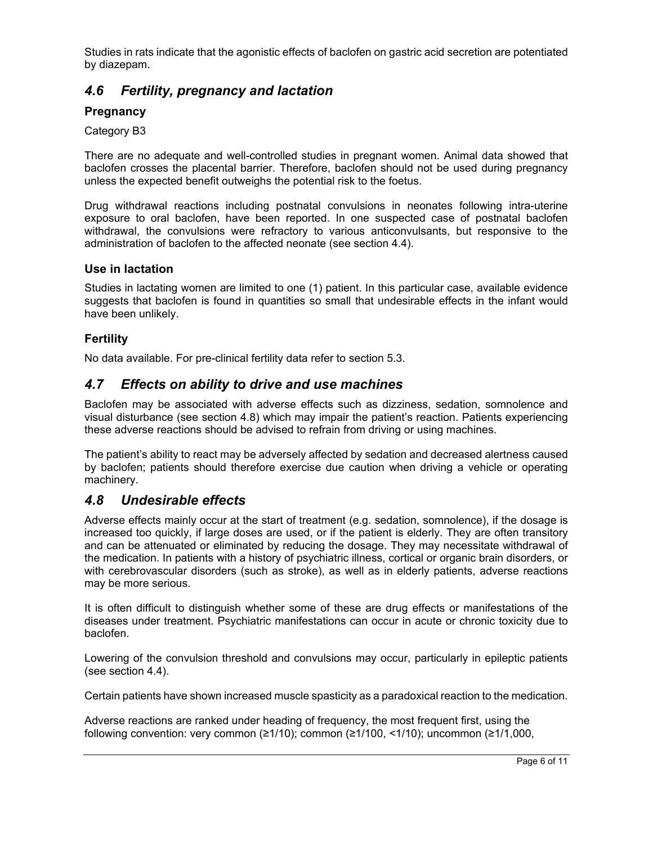Studies in rats indicate that the agonistic effects of baclofen on gastric acid secretion are potentiated by diazepam.

## *4.6 Fertility, pregnancy and lactation*

## **Pregnancy**

Category B3

There are no adequate and well-controlled studies in pregnant women. Animal data showed that baclofen crosses the placental barrier. Therefore, baclofen should not be used during pregnancy unless the expected benefit outweighs the potential risk to the foetus.

Drug withdrawal reactions including postnatal convulsions in neonates following intra-uterine exposure to oral baclofen, have been reported. In one suspected case of postnatal baclofen withdrawal, the convulsions were refractory to various anticonvulsants, but responsive to the administration of baclofen to the affected neonate (see section 4.4).

## **Use in lactation**

Studies in lactating women are limited to one (1) patient. In this particular case, available evidence suggests that baclofen is found in quantities so small that undesirable effects in the infant would have been unlikely.

## **Fertility**

No data available. For pre-clinical fertility data refer to section 5.3.

## *4.7 Effects on ability to drive and use machines*

Baclofen may be associated with adverse effects such as dizziness, sedation, somnolence and visual disturbance (see section 4.8) which may impair the patient's reaction. Patients experiencing these adverse reactions should be advised to refrain from driving or using machines.

The patient's ability to react may be adversely affected by sedation and decreased alertness caused by baclofen; patients should therefore exercise due caution when driving a vehicle or operating machinery.

## *4.8 Undesirable effects*

Adverse effects mainly occur at the start of treatment (e.g. sedation, somnolence), if the dosage is increased too quickly, if large doses are used, or if the patient is elderly. They are often transitory and can be attenuated or eliminated by reducing the dosage. They may necessitate withdrawal of the medication. In patients with a history of psychiatric illness, cortical or organic brain disorders, or with cerebrovascular disorders (such as stroke), as well as in elderly patients, adverse reactions may be more serious.

It is often difficult to distinguish whether some of these are drug effects or manifestations of the diseases under treatment. Psychiatric manifestations can occur in acute or chronic toxicity due to baclofen.

Lowering of the convulsion threshold and convulsions may occur, particularly in epileptic patients (see section 4.4).

Certain patients have shown increased muscle spasticity as a paradoxical reaction to the medication.

Adverse reactions are ranked under heading of frequency, the most frequent first, using the following convention: very common ( $\geq$ 1/10); common ( $\geq$ 1/100, <1/10); uncommon ( $\geq$ 1/1,000,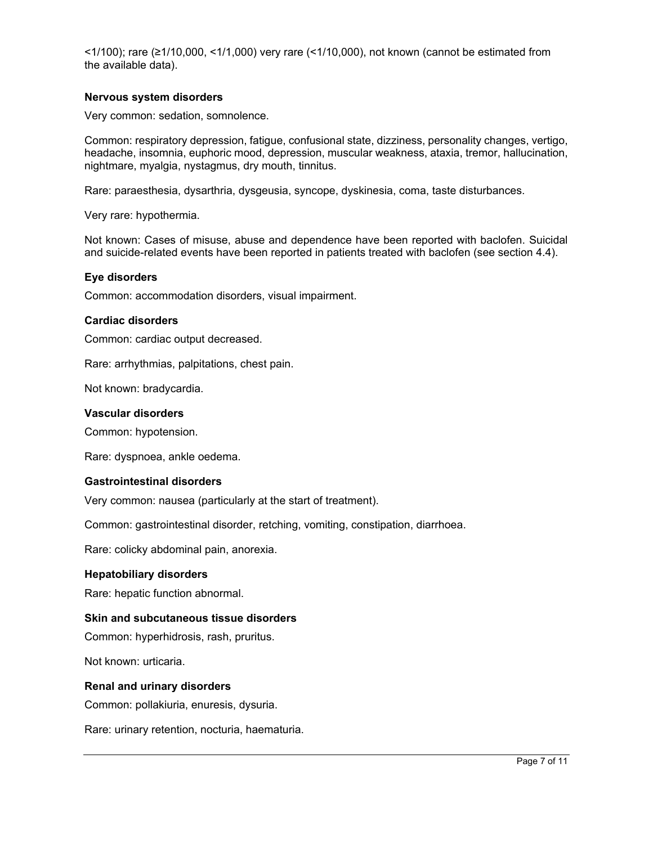<1/100); rare (≥1/10,000, <1/1,000) very rare (<1/10,000), not known (cannot be estimated from the available data).

#### **Nervous system disorders**

Very common: sedation, somnolence.

Common: respiratory depression, fatigue, confusional state, dizziness, personality changes, vertigo, headache, insomnia, euphoric mood, depression, muscular weakness, ataxia, tremor, hallucination, nightmare, myalgia, nystagmus, dry mouth, tinnitus.

Rare: paraesthesia, dysarthria, dysgeusia, syncope, dyskinesia, coma, taste disturbances.

Very rare: hypothermia.

Not known: Cases of misuse, abuse and dependence have been reported with baclofen. Suicidal and suicide-related events have been reported in patients treated with baclofen (see section 4.4).

#### **Eye disorders**

Common: accommodation disorders, visual impairment.

#### **Cardiac disorders**

Common: cardiac output decreased.

Rare: arrhythmias, palpitations, chest pain.

Not known: bradycardia.

#### **Vascular disorders**

Common: hypotension.

Rare: dyspnoea, ankle oedema.

#### **Gastrointestinal disorders**

Very common: nausea (particularly at the start of treatment).

Common: gastrointestinal disorder, retching, vomiting, constipation, diarrhoea.

Rare: colicky abdominal pain, anorexia.

#### **Hepatobiliary disorders**

Rare: hepatic function abnormal.

#### **Skin and subcutaneous tissue disorders**

Common: hyperhidrosis, rash, pruritus.

Not known: urticaria.

#### **Renal and urinary disorders**

Common: pollakiuria, enuresis, dysuria.

Rare: urinary retention, nocturia, haematuria.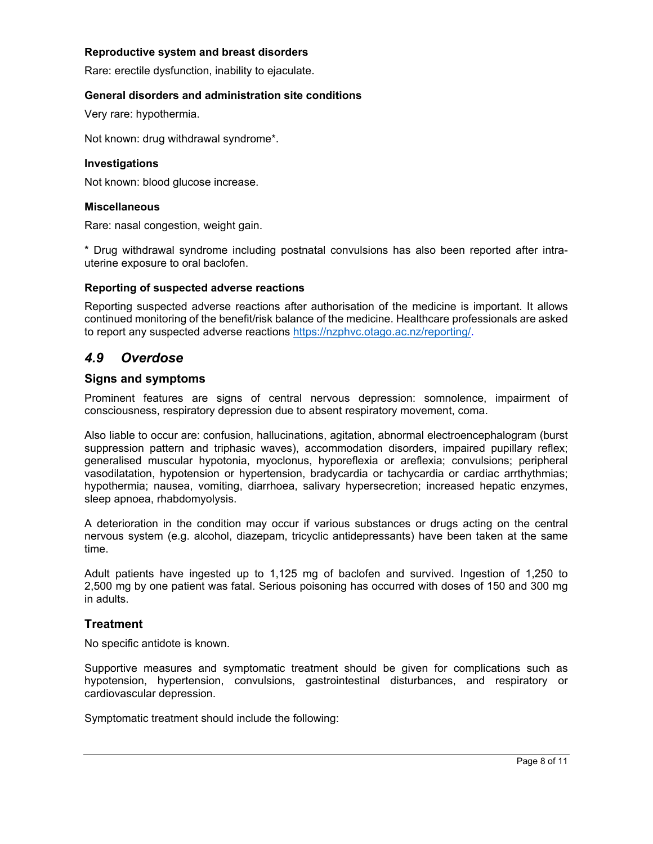#### **Reproductive system and breast disorders**

Rare: erectile dysfunction, inability to ejaculate.

#### **General disorders and administration site conditions**

Very rare: hypothermia.

Not known: drug withdrawal syndrome\*.

#### **Investigations**

Not known: blood glucose increase.

#### **Miscellaneous**

Rare: nasal congestion, weight gain.

\* Drug withdrawal syndrome including postnatal convulsions has also been reported after intrauterine exposure to oral baclofen.

#### **Reporting of suspected adverse reactions**

Reporting suspected adverse reactions after authorisation of the medicine is important. It allows continued monitoring of the benefit/risk balance of the medicine. Healthcare professionals are asked to report any suspected adverse reactions https://nzphvc.otago.ac.nz/reporting/.

## *4.9 Overdose*

#### **Signs and symptoms**

Prominent features are signs of central nervous depression: somnolence, impairment of consciousness, respiratory depression due to absent respiratory movement, coma.

Also liable to occur are: confusion, hallucinations, agitation, abnormal electroencephalogram (burst suppression pattern and triphasic waves), accommodation disorders, impaired pupillary reflex; generalised muscular hypotonia, myoclonus, hyporeflexia or areflexia; convulsions; peripheral vasodilatation, hypotension or hypertension, bradycardia or tachycardia or cardiac arrthythmias; hypothermia; nausea, vomiting, diarrhoea, salivary hypersecretion; increased hepatic enzymes, sleep apnoea, rhabdomyolysis.

A deterioration in the condition may occur if various substances or drugs acting on the central nervous system (e.g. alcohol, diazepam, tricyclic antidepressants) have been taken at the same time.

Adult patients have ingested up to 1,125 mg of baclofen and survived. Ingestion of 1,250 to 2,500 mg by one patient was fatal. Serious poisoning has occurred with doses of 150 and 300 mg in adults.

#### **Treatment**

No specific antidote is known.

Supportive measures and symptomatic treatment should be given for complications such as hypotension, hypertension, convulsions, gastrointestinal disturbances, and respiratory or cardiovascular depression.

Symptomatic treatment should include the following: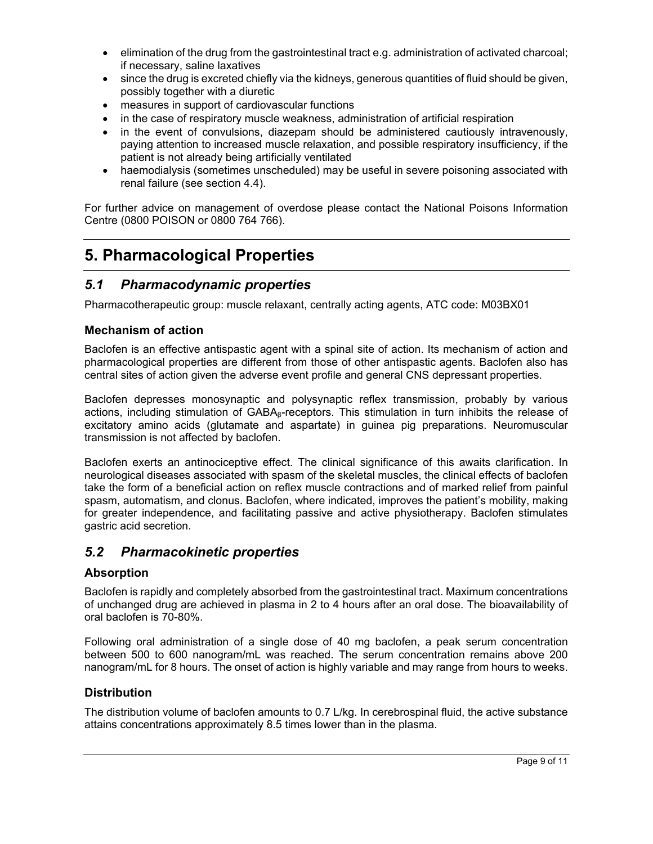- elimination of the drug from the gastrointestinal tract e.g. administration of activated charcoal; if necessary, saline laxatives
- since the drug is excreted chiefly via the kidneys, generous quantities of fluid should be given, possibly together with a diuretic
- measures in support of cardiovascular functions
- in the case of respiratory muscle weakness, administration of artificial respiration
- in the event of convulsions, diazepam should be administered cautiously intravenously, paying attention to increased muscle relaxation, and possible respiratory insufficiency, if the patient is not already being artificially ventilated
- haemodialysis (sometimes unscheduled) may be useful in severe poisoning associated with renal failure (see section 4.4).

For further advice on management of overdose please contact the National Poisons Information Centre (0800 POISON or 0800 764 766).

## **5. Pharmacological Properties**

## *5.1 Pharmacodynamic properties*

Pharmacotherapeutic group: muscle relaxant, centrally acting agents, ATC code: M03BX01

## **Mechanism of action**

Baclofen is an effective antispastic agent with a spinal site of action. Its mechanism of action and pharmacological properties are different from those of other antispastic agents. Baclofen also has central sites of action given the adverse event profile and general CNS depressant properties.

Baclofen depresses monosynaptic and polysynaptic reflex transmission, probably by various actions, including stimulation of  $GABA<sub>8</sub>$ -receptors. This stimulation in turn inhibits the release of excitatory amino acids (glutamate and aspartate) in guinea pig preparations. Neuromuscular transmission is not affected by baclofen.

Baclofen exerts an antinociceptive effect. The clinical significance of this awaits clarification. In neurological diseases associated with spasm of the skeletal muscles, the clinical effects of baclofen take the form of a beneficial action on reflex muscle contractions and of marked relief from painful spasm, automatism, and clonus. Baclofen, where indicated, improves the patient's mobility, making for greater independence, and facilitating passive and active physiotherapy. Baclofen stimulates gastric acid secretion.

## *5.2 Pharmacokinetic properties*

#### **Absorption**

Baclofen is rapidly and completely absorbed from the gastrointestinal tract. Maximum concentrations of unchanged drug are achieved in plasma in 2 to 4 hours after an oral dose. The bioavailability of oral baclofen is 70-80%.

Following oral administration of a single dose of 40 mg baclofen, a peak serum concentration between 500 to 600 nanogram/mL was reached. The serum concentration remains above 200 nanogram/mL for 8 hours. The onset of action is highly variable and may range from hours to weeks.

## **Distribution**

The distribution volume of baclofen amounts to 0.7 L/kg. In cerebrospinal fluid, the active substance attains concentrations approximately 8.5 times lower than in the plasma.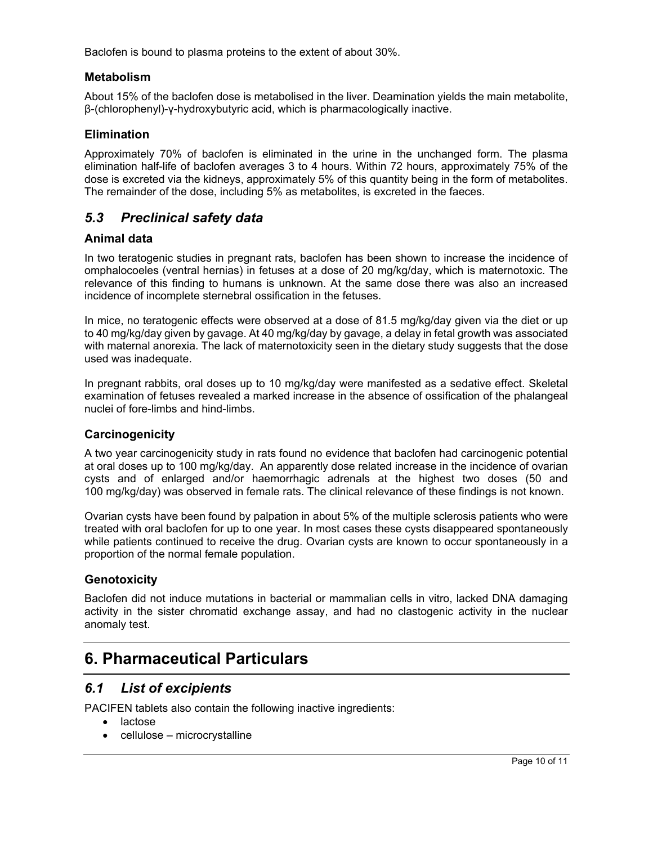Baclofen is bound to plasma proteins to the extent of about 30%.

#### **Metabolism**

About 15% of the baclofen dose is metabolised in the liver. Deamination yields the main metabolite, β-(chlorophenyl)-γ-hydroxybutyric acid, which is pharmacologically inactive.

#### **Elimination**

Approximately 70% of baclofen is eliminated in the urine in the unchanged form. The plasma elimination half-life of baclofen averages 3 to 4 hours. Within 72 hours, approximately 75% of the dose is excreted via the kidneys, approximately 5% of this quantity being in the form of metabolites. The remainder of the dose, including 5% as metabolites, is excreted in the faeces.

## *5.3 Preclinical safety data*

#### **Animal data**

In two teratogenic studies in pregnant rats, baclofen has been shown to increase the incidence of omphalocoeles (ventral hernias) in fetuses at a dose of 20 mg/kg/day, which is maternotoxic. The relevance of this finding to humans is unknown. At the same dose there was also an increased incidence of incomplete sternebral ossification in the fetuses.

In mice, no teratogenic effects were observed at a dose of 81.5 mg/kg/day given via the diet or up to 40 mg/kg/day given by gavage. At 40 mg/kg/day by gavage, a delay in fetal growth was associated with maternal anorexia. The lack of maternotoxicity seen in the dietary study suggests that the dose used was inadequate.

In pregnant rabbits, oral doses up to 10 mg/kg/day were manifested as a sedative effect. Skeletal examination of fetuses revealed a marked increase in the absence of ossification of the phalangeal nuclei of fore-limbs and hind-limbs.

## **Carcinogenicity**

A two year carcinogenicity study in rats found no evidence that baclofen had carcinogenic potential at oral doses up to 100 mg/kg/day. An apparently dose related increase in the incidence of ovarian cysts and of enlarged and/or haemorrhagic adrenals at the highest two doses (50 and 100 mg/kg/day) was observed in female rats. The clinical relevance of these findings is not known.

Ovarian cysts have been found by palpation in about 5% of the multiple sclerosis patients who were treated with oral baclofen for up to one year. In most cases these cysts disappeared spontaneously while patients continued to receive the drug. Ovarian cysts are known to occur spontaneously in a proportion of the normal female population.

## **Genotoxicity**

Baclofen did not induce mutations in bacterial or mammalian cells in vitro, lacked DNA damaging activity in the sister chromatid exchange assay, and had no clastogenic activity in the nuclear anomaly test.

## **6. Pharmaceutical Particulars**

## *6.1 List of excipients*

PACIFEN tablets also contain the following inactive ingredients:

- lactose
- cellulose microcrystalline